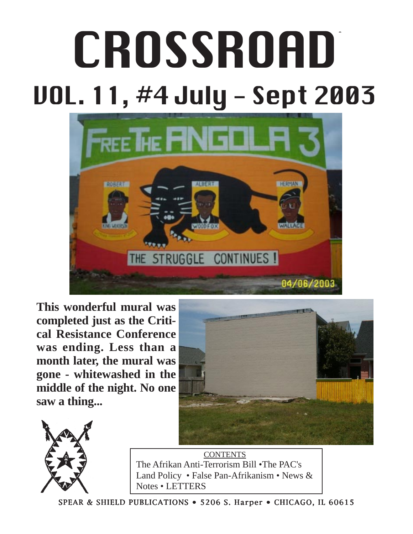# $\sim$  -  $\sim$  -  $\sim$  -  $\sim$  -  $\sim$   $\sim$ **CROSSROAD** VOL. 11, #4 July - Sept 2003



**This wonderful mural was completed just as the Critical Resistance Conference was ending. Less than a month later, the mural was gone - whitewashed in the middle of the night. No one saw a thing...**





**CONTENTS** The Afrikan Anti-Terrorism Bill •The PAC's Land Policy • False Pan-Afrikanism • News & Notes • LETTERS

SPEAR & SHIELD PUBLICATIONS • 5206 S. Harper • CHICAGO, IL 60615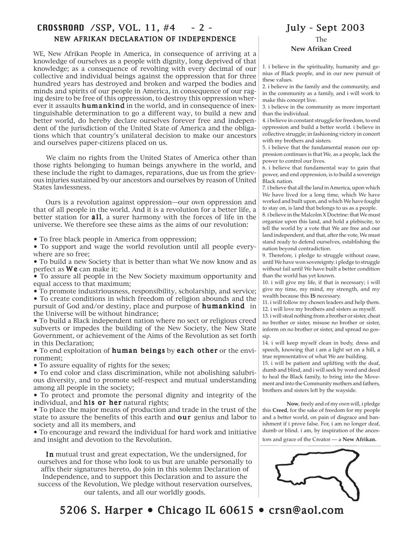#### CROSSROAD /SSP, VOL. 11, #4 - 2 - July - Sept 2003 NEW AFRIKAN DECLARATION OF INDEPENDENCE

WE, New Afrikan People in America, in consequence of arriving at a knowledge of ourselves as a people with dignity, long deprived of that knowledge; as a consequence of revolting with every decimal of our collective and individual beings against the oppression that for three hundred years has destroyed and broken and warped the bodies and minds and spirits of our people in America, in consequence of our raging desire to be free of this oppression, to destroy this oppression wherever it assaults **humankind** in the world, and in consequence of inextinguishable determination to go a different way, to build a new and better world, do hereby declare ourselves forever free and independent of the jurisdiction of the United State of America and the obligations which that country's unilateral decision to make our ancestors and ourselves paper-citizens placed on us.

 We claim no rights from the United States of America other than those rights belonging to human beings anywhere in the world, and these include the right to damages, reparations, due us from the grievous injuries sustained by our ancestors and ourselves by reason of United States lawlessness.

 Ours is a revolution against oppression—our own oppression and that of all people in the world. And it is a revolution for a better life, a better station for **all**, a surer harmony with the forces of life in the universe. We therefore see these aims as the aims of our revolution:

• To free black people in America from oppression;

• To support and wage the world revolution until all people everywhere are so free;

• To build a new Society that is better than what We now know and as perfect as  $W$ e can make it;

• To assure all people in the New Society maximum opportunity and equal access to that maximum;

• To promote industriousness, responsibility, scholarship, and service; • To create conditions in which freedom of religion abounds and the pursuit of God and/or destiny, place and purpose of **humankind** in the Universe will be without hindrance;

• To build a Black independent nation where no sect or religious creed subverts or impedes the building of the New Society, the New State Government, or achievement of the Aims of the Revolution as set forth in this Declaration;

• To end exploitation of **human beings** by **each other** or the environment;

• To assure equality of rights for the sexes;

• To end color and class discrimination, while not abolishing salubrious diversity, and to promote self-respect and mutual understanding among all people in the society;

• To protect and promote the personal dignity and integrity of the individual, and his or her natural rights;

• To place the major means of production and trade in the trust of the state to assure the benefits of this earth and **our** genius and labor to society and all its members, and

• To encourage and reward the individual for hard work and initiative and insight and devotion to the Revolution.

In mutual trust and great expectation, We the undersigned, for ourselves and for those who look to us but are unable personally to affix their signatures hereto, do join in this solemn Declaration of Independence, and to support this Declaration and to assure the success of the Revolution, We pledge without reservation ourselves,

our talents, and all our worldly goods.

The **New Afrikan Creed**

1. i believe in the spirituality, humanity and genius of Black people, and in our new pursuit of these values.

2. i believe in the family and the community, and in the community as a family, and i will work to make this concept live.

3. i believe in the community as more important than the individual.

4. i believe in constant struggle for freedom, to end oppression and build a better world. i believe in collective struggle; in fashioning victory in concert with my brothers and sisters.

5. i believe that the fundamental reason our oppression continues is that We, as a people, lack the power to control our lives.

6. i believe that fundamental way to gain that power, and end oppression, is to build a sovereign Black nation.

7. i believe that all the land in America, upon which We have lived for a long time, which We have worked and built upon, and which We have fought to stay on, is land that belongs to us as a people.

8. i believe in the Malcolm X Doctrine: that We must organize upon this land, and hold a plebiscite, to tell the world by a vote that We are free and our land independent, and that, after the vote, We must stand ready to defend ourselves, establishing the nation beyond contradiction.

9. Therefore, i pledge to struggle without cease, until We have won sovereignty. i pledge to struggle without fail until We have built a better condition than the world has yet known.

10. i will give my life, if that is necessary; i will give my time, my mind, my strength, and my wealth because this **IS** necessary.

11. i will follow my chosen leaders and help them. 12. i will love my brothers and sisters as myself.

13. i will steal nothing from a brother or sister, cheat no brother or sister, misuse no brother or sister, inform on no brother or sister, and spread no gossip.

14. i will keep myself clean in body, dress and speech, knowing that i am a light set on a hill, a true representative of what We are building.

15. i will be patient and uplifting with the deaf, dumb and blind, and i will seek by word and deed to heal the Black family, to bring into the Movement and into the Community mothers and fathers, brothers and sisters left by the wayside.

**Now**, freely and of my own will, i pledge this **Creed**, for the sake of freedom for my people and a better world, on pain of disgrace and banishment if i prove false. For, i am no longer deaf, dumb or blind. i am, by inspiration of the ancestors and grace of the Creator — a **New Afrikan.**

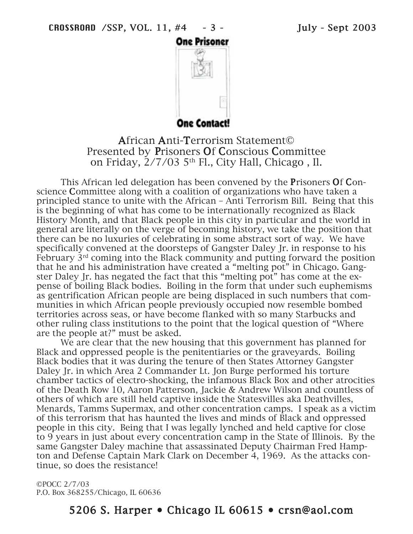

One Contact!

African Anti-Terrorism Statement© Presented by Prisoners Of Conscious Committee on Friday,  $2/7/03$  5<sup>th</sup> Fl., City Hall, Chicago, Il.

This African led delegation has been convened by the **P**risoners Of Conscience Committee along with a coalition of organizations who have taken a principled stance to unite with the African – Anti Terrorism Bill. Being that this is the beginning of what has come to be internationally recognized as Black History Month, and that Black people in this city in particular and the world in general are literally on the verge of becoming history, we take the position that there can be no luxuries of celebrating in some abstract sort of way. We have specifically convened at the doorsteps of Gangster Daley Jr. in response to his February  $\tilde{3}$ <sup>rd</sup> coming into the Black community and putting forward the position that he and his administration have created a "melting pot" in Chicago. Gangster Daley Jr. has negated the fact that this "melting pot" has come at the expense of boiling Black bodies. Boiling in the form that under such euphemisms as gentrification African people are being displaced in such numbers that communities in which African people previously occupied now resemble bombed territories across seas, or have become flanked with so many Starbucks and other ruling class institutions to the point that the logical question of "Where are the people at?" must be asked.

We are clear that the new housing that this government has planned for Black and oppressed people is the penitentiaries or the graveyards. Boiling Black bodies that it was during the tenure of then States Attorney Gangster Daley Jr. in which Area 2 Commander Lt. Jon Burge performed his torture chamber tactics of electro-shocking, the infamous Black Box and other atrocities of the Death Row 10, Aaron Patterson, Jackie & Andrew Wilson and countless of others of which are still held captive inside the Statesvilles aka Deathvilles, Menards, Tamms Supermax, and other concentration camps. I speak as a victim of this terrorism that has haunted the lives and minds of Black and oppressed people in this city. Being that I was legally lynched and held captive for close to 9 years in just about every concentration camp in the State of Illinois. By the same Gangster Daley machine that assassinated Deputy Chairman Fred Hampton and Defense Captain Mark Clark on December 4, 1969. As the attacks continue, so does the resistance!

©POCC 2/7/03 P.O. Box 368255/Chicago, IL 60636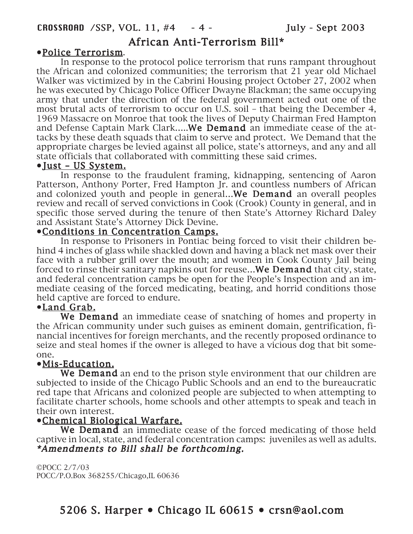# African Anti-Terrorism Bill\*

### •Police Terrorism.

In response to the protocol police terrorism that runs rampant throughout the African and colonized communities; the terrorism that 21 year old Michael Walker was victimized by in the Cabrini Housing project October 27, 2002 when he was executed by Chicago Police Officer Dwayne Blackman; the same occupying army that under the direction of the federal government acted out one of the most brutal acts of terrorism to occur on U.S. soil – that being the December 4, 1969 Massacre on Monroe that took the lives of Deputy Chairman Fred Hampton and Defense Captain Mark Clark..... We Demand an immediate cease of the attacks by these death squads that claim to serve and protect. We Demand that the appropriate charges be levied against all police, state's attorneys, and any and all state officials that collaborated with committing these said crimes.

#### $\bullet$ Just – US System.

In response to the fraudulent framing, kidnapping, sentencing of Aaron Patterson, Anthony Porter, Fred Hampton Jr. and countless numbers of African and colonized youth and people in general... We **Demand** an overall peoples review and recall of served convictions in Cook (Crook) County in general, and in specific those served during the tenure of then State's Attorney Richard Daley and Assistant State's Attorney Dick Devine.

### •Conditions in Concentration Camps.

In response to Prisoners in Pontiac being forced to visit their children behind 4 inches of glass while shackled down and having a black net mask over their face with a rubber grill over the mouth; and women in Cook County Jail being forced to rinse their sanitary napkins out for reuse...We **Demand** that city, state, and federal concentration camps be open for the People's Inspection and an immediate ceasing of the forced medicating, beating, and horrid conditions those held captive are forced to endure.

# •Land Grab.

We Demand an immediate cease of snatching of homes and property in the African community under such guises as eminent domain, gentrification, financial incentives for foreign merchants, and the recently proposed ordinance to seize and steal homes if the owner is alleged to have a vicious dog that bit someone.

### $•$ Mis-Education.

We Demand an end to the prison style environment that our children are subjected to inside of the Chicago Public Schools and an end to the bureaucratic red tape that Africans and colonized people are subjected to when attempting to facilitate charter schools, home schools and other attempts to speak and teach in their own interest.

### •Chemical Biological Warfare.

We Demand an immediate cease of the forced medicating of those held captive in local, state, and federal concentration camps: juveniles as well as adults. \*Amendments to Bill shall be forthcoming.

©POCC 2/7/03 POCC/P.O.Box 368255/Chicago,IL 60636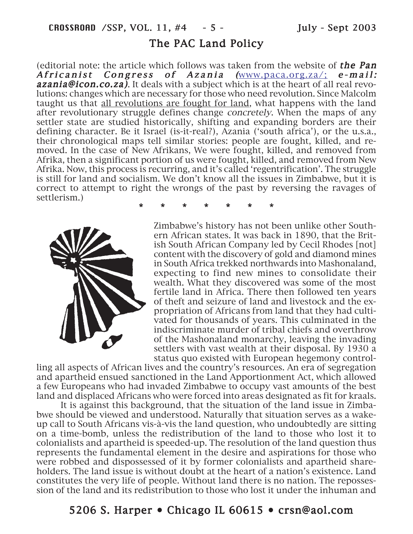# The PAC Land Policy

(editorial note: the article which follows was taken from the website of **the Pan** Africanist Congress of Azania (www.paca.org.za/; e-mail: azania@icon.co.za). It deals with a subject which is at the heart of all real revolutions: changes which are necessary for those who need revolution. Since Malcolm taught us that all revolutions are fought for land, what happens with the land after revolutionary struggle defines change concretely. When the maps of any settler state are studied historically, shifting and expanding borders are their defining character. Be it Israel (is-it-real?), Azania ('south africa'), or the u.s.a., their chronological maps tell similar stories: people are fought, killed, and removed. In the case of New Afrikans, We were fought, killed, and removed from Afrika, then a significant portion of us were fought, killed, and removed from New Afrika. Now, this process is recurring, and it's called 'regentrification'. The struggle is still for land and socialism. We don't know all the issues in Zimbabwe, but it is correct to attempt to right the wrongs of the past by reversing the ravages of settlerism.)

\* \* \* \* \* \* \*



Zimbabwe's history has not been unlike other Southern African states. It was back in 1890, that the British South African Company led by Cecil Rhodes [not] content with the discovery of gold and diamond mines in South Africa trekked northwards into Mashonaland, expecting to find new mines to consolidate their wealth. What they discovered was some of the most fertile land in Africa. There then followed ten years of theft and seizure of land and livestock and the expropriation of Africans from land that they had cultivated for thousands of years. This culminated in the indiscriminate murder of tribal chiefs and overthrow of the Mashonaland monarchy, leaving the invading settlers with vast wealth at their disposal. By 1930 a status quo existed with European hegemony control-

ling all aspects of African lives and the country's resources. An era of segregation and apartheid ensued sanctioned in the Land Apportionment Act, which allowed a few Europeans who had invaded Zimbabwe to occupy vast amounts of the best land and displaced Africans who were forced into areas designated as fit for kraals.

It is against this background, that the situation of the land issue in Zimbabwe should be viewed and understood. Naturally that situation serves as a wakeup call to South Africans vis-à-vis the land question, who undoubtedly are sitting on a time-bomb, unless the redistribution of the land to those who lost it to colonialists and apartheid is speeded-up. The resolution of the land question thus represents the fundamental element in the desire and aspirations for those who were robbed and dispossessed of it by former colonialists and apartheid shareholders. The land issue is without doubt at the heart of a nation's existence. Land constitutes the very life of people. Without land there is no nation. The repossession of the land and its redistribution to those who lost it under the inhuman and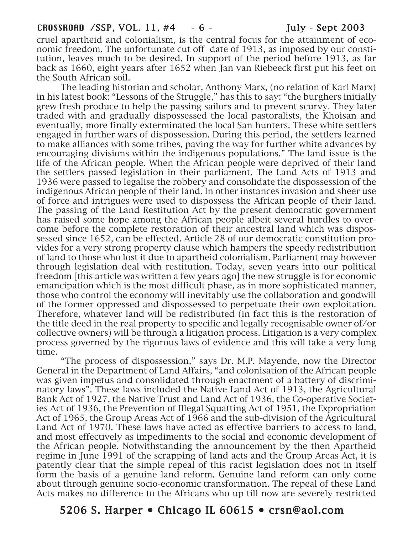cruel apartheid and colonialism, is the central focus for the attainment of economic freedom. The unfortunate cut off date of 1913, as imposed by our constitution, leaves much to be desired. In support of the period before 1913, as far back as 1660, eight years after 1652 when Jan van Riebeeck first put his feet on the South African soil.

The leading historian and scholar, Anthony Marx, (no relation of Karl Marx) in his latest book: "Lessons of the Struggle," has this to say: "the burghers initially grew fresh produce to help the passing sailors and to prevent scurvy. They later traded with and gradually dispossessed the local pastoralists, the Khoisan and eventually, more finally exterminated the local San hunters. These white settlers engaged in further wars of dispossession. During this period, the settlers learned to make alliances with some tribes, paving the way for further white advances by encouraging divisions within the indigenous populations." The land issue is the life of the African people. When the African people were deprived of their land the settlers passed legislation in their parliament. The Land Acts of 1913 and 1936 were passed to legalise the robbery and consolidate the dispossession of the indigenous African people of their land. In other instances invasion and sheer use of force and intrigues were used to dispossess the African people of their land. The passing of the Land Restitution Act by the present democratic government has raised some hope among the African people albeit several hurdles to overcome before the complete restoration of their ancestral land which was dispossessed since 1652, can be effected. Article 28 of our democratic constitution provides for a very strong property clause which hampers the speedy redistribution of land to those who lost it due to apartheid colonialism. Parliament may however through legislation deal with restitution. Today, seven years into our political freedom [this article was written a few years ago] the new struggle is for economic emancipation which is the most difficult phase, as in more sophisticated manner, those who control the economy will inevitably use the collaboration and goodwill of the former oppressed and dispossessed to perpetuate their own exploitation. Therefore, whatever land will be redistributed (in fact this is the restoration of the title deed in the real property to specific and legally recognisable owner of/or collective owners) will be through a litigation process. Litigation is a very complex process governed by the rigorous laws of evidence and this will take a very long time.

"The process of dispossession," says Dr. M.P. Mayende, now the Director General in the Department of Land Affairs, "and colonisation of the African people was given impetus and consolidated through enactment of a battery of discriminatory laws". These laws included the Native Land Act of 1913, the Agricultural Bank Act of 1927, the Native Trust and Land Act of 1936, the Co-operative Societies Act of 1936, the Prevention of Illegal Squatting Act of 1951, the Expropriation Act of 1965, the Group Areas Act of 1966 and the sub-division of the Agricultural Land Act of 1970. These laws have acted as effective barriers to access to land, and most effectively as impediments to the social and economic development of the African people. Notwithstanding the announcement by the then Apartheid regime in June 1991 of the scrapping of land acts and the Group Areas Act, it is patently clear that the simple repeal of this racist legislation does not in itself form the basis of a genuine land reform. Genuine land reform can only come about through genuine socio-economic transformation. The repeal of these Land Acts makes no difference to the Africans who up till now are severely restricted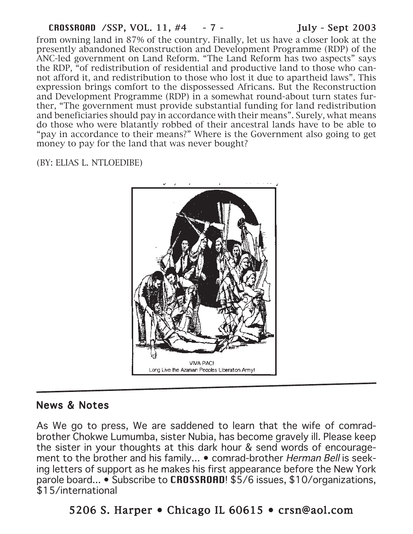# CROSSROAD /SSP, VOL. 11, #4 - 7 - July - Sept 2003

from owning land in 87% of the country. Finally, let us have a closer look at the presently abandoned Reconstruction and Development Programme (RDP) of the ANC-led government on Land Reform. "The Land Reform has two aspects" says the RDP, "of redistribution of residential and productive land to those who cannot afford it, and redistribution to those who lost it due to apartheid laws". This expression brings comfort to the dispossessed Africans. But the Reconstruction and Development Programme (RDP) in a somewhat round-about turn states further, "The government must provide substantial funding for land redistribution and beneficiaries should pay in accordance with their means". Surely, what means do those who were blatantly robbed of their ancestral lands have to be able to "pay in accordance to their means?" Where is the Government also going to get money to pay for the land that was never bought?

# (BY: ELIAS L. NTLOEDIBE)



# News & Notes

As We go to press, We are saddened to learn that the wife of comradbrother Chokwe Lumumba, sister Nubia, has become gravely ill. Please keep the sister in your thoughts at this dark hour & send words of encouragement to the brother and his family... • comrad-brother Herman Bell is seeking letters of support as he makes his first appearance before the New York parole board... • Subscribe to CROSSROAD! \$5/6 issues, \$10/organizations, \$15/international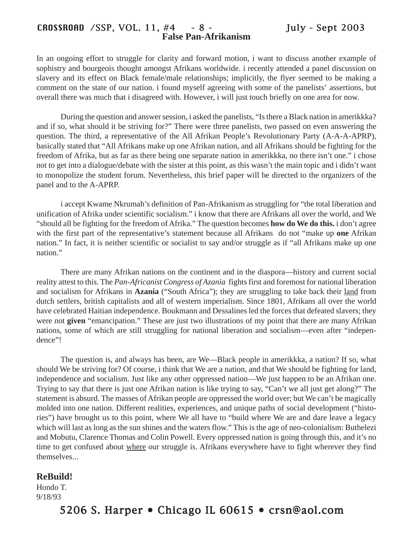In an ongoing effort to struggle for clarity and forward motion, i want to discuss another example of sophistry and bourgeois thought amongst Afrikans worldwide. i recently attended a panel discussion on slavery and its effect on Black female/male relationships; implicitly, the flyer seemed to be making a comment on the state of our nation. i found myself agreeing with some of the panelists' assertions, but overall there was much that i disagreed with. However, i will just touch briefly on one area for now.

During the question and answer session, i asked the panelists, "Is there a Black nation in amerikkka? and if so, what should it be striving for?" There were three panelists, two passed on even answering the question. The third, a representative of the All Afrikan People's Revolutionary Party (A-A-A-APRP), basically stated that "All Afrikans make up one Afrikan nation, and all Afrikans should be fighting for the freedom of Afrika, but as far as there being one separate nation in amerikkka, no there isn't one." i chose not to get into a dialogue/debate with the sister at this point, as this wasn't the main topic and i didn't want to monopolize the student forum. Nevertheless, this brief paper will be directed to the organizers of the panel and to the A-APRP.

i accept Kwame Nkrumah's definition of Pan-Afrikanism as struggling for "the total liberation and unification of Afrika under scientific socialism." i know that there are Afrikans all over the world, and We "should all be fighting for the freedom of Afrika." The question becomes **how do We do this.** i don't agree with the first part of the representative's statement because all Afrikans do not "make up **one** Afrikan nation." In fact, it is neither scientific or socialist to say and/or struggle as if "all Afrikans make up one nation."

There are many Afrikan nations on the continent and in the diaspora—history and current social reality attest to this. The *Pan-Africanist Congress of Azania* fights first and foremost for national liberation and socialism for Afrikans in **Azania** ("South Africa"); they are struggling to take back their land from dutch settlers, british capitalists and all of western imperialism. Since 1801, Afrikans all over the world have celebrated Haitian independence. Boukmann and Dessalines led the forces that defeated slavers; they were not **given** "emancipation." These are just two illustrations of my point that there are many Afrikan nations, some of which are still struggling for national liberation and socialism—even after "independence"!

The question is, and always has been, are We—Black people in amerikkka, a nation? If so, what should We be striving for? Of course, i think that We are a nation, and that We should be fighting for land, independence and socialism. Just like any other oppressed nation—We just happen to be an Afrikan one. Trying to say that there is just one Afrikan nation is like trying to say, "Can't we all just get along?" The statement is absurd. The masses of Afrikan people are oppressed the world over; but We can't be magically molded into one nation. Different realities, experiences, and unique paths of social development ("histories") have brought us to this point, where We all have to "build where We are and dare leave a legacy which will last as long as the sun shines and the waters flow." This is the age of neo-colonialism: Buthelezi and Mobutu, Clarence Thomas and Colin Powell. Every oppressed nation is going through this, and it's no time to get confused about where our struggle is. Afrikans everywhere have to fight wherever they find themselves...

#### **ReBuild!**

Hondo T. 9/18/93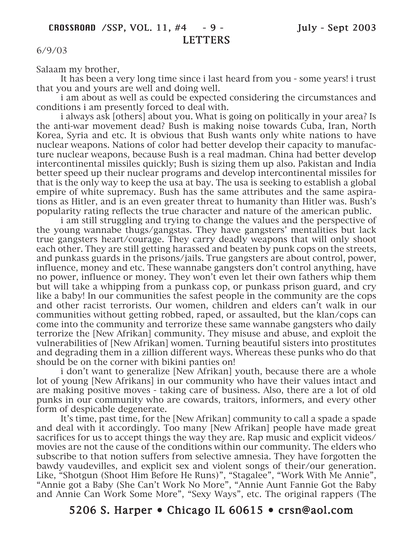6/9/03

Salaam my brother,

It has been a very long time since i last heard from you - some years! i trust that you and yours are well and doing well.

LETTERS

i am about as well as could be expected considering the circumstances and conditions i am presently forced to deal with.

i always ask [others] about you. What is going on politically in your area? Is the anti-war movement dead? Bush is making noise towards Cuba, Iran, North Korea, Syria and etc. It is obvious that Bush wants only white nations to have nuclear weapons. Nations of color had better develop their capacity to manufacture nuclear weapons, because Bush is a real madman. China had better develop intercontinental missiles quickly; Bush is sizing them up also. Pakistan and India better speed up their nuclear programs and develop intercontinental missiles for that is the only way to keep the usa at bay. The usa is seeking to establish a global empire of white supremacy. Bush has the same attributes and the same aspirations as Hitler, and is an even greater threat to humanity than Hitler was. Bush's popularity rating reflects the true character and nature of the american public.

i am still struggling and trying to change the values and the perspective of the young wannabe thugs/gangstas. They have gangsters' mentalities but lack true gangsters heart/courage. They carry deadly weapons that will only shoot each other. They are still getting harassed and beaten by punk cops on the streets, and punkass guards in the prisons/jails. True gangsters are about control, power, influence, money and etc. These wannabe gangsters don't control anything, have no power, influence or money. They won't even let their own fathers whip them but will take a whipping from a punkass cop, or punkass prison guard, and cry like a baby! In our communities the safest people in the community are the cops and other racist terrorists. Our women, children and elders can't walk in our communities without getting robbed, raped, or assaulted, but the klan/cops can come into the community and terrorize these same wannabe gangsters who daily terrorize the [New Afrikan] community. They misuse and abuse, and exploit the vulnerabilities of [New Afrikan] women. Turning beautiful sisters into prostitutes and degrading them in a zillion different ways. Whereas these punks who do that should be on the corner with bikini panties on!

i don't want to generalize [New Afrikan] youth, because there are a whole lot of young [New Afrikans] in our community who have their values intact and are making positive moves - taking care of business. Also, there are a lot of old punks in our community who are cowards, traitors, informers, and every other form of despicable degenerate.

It's time, past time, for the [New Afrikan] community to call a spade a spade and deal with it accordingly. Too many [New Afrikan] people have made great sacrifices for us to accept things the way they are. Rap music and explicit videos/ movies are not the cause of the conditions within our community. The elders who subscribe to that notion suffers from selective amnesia. They have forgotten the bawdy vaudevilles, and explicit sex and violent songs of their/our generation. Like, "Shotgun (Shoot Him Before He Runs)", "Stagalee", "Work With Me Annie", "Annie got a Baby (She Can't Work No More", "Annie Aunt Fannie Got the Baby and Annie Can Work Some More", "Sexy Ways", etc. The original rappers (The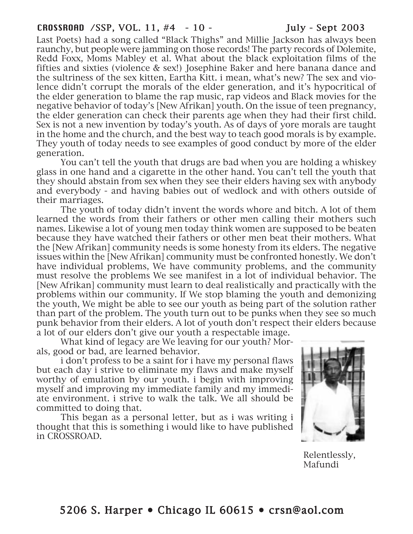#### CROSSROAD /SSP, VOL. 11, #4 - 10 - July - Sept 2003

Last Poets) had a song called "Black Thighs" and Millie Jackson has always been raunchy, but people were jamming on those records! The party records of Dolemite, Redd Foxx, Moms Mabley et al. What about the black exploitation films of the fifties and sixties (violence & sex!) Josephine Baker and here banana dance and the sultriness of the sex kitten, Eartha Kitt. i mean, what's new? The sex and violence didn't corrupt the morals of the elder generation, and it's hypocritical of the elder generation to blame the rap music, rap videos and Black movies for the negative behavior of today's [New Afrikan] youth. On the issue of teen pregnancy, the elder generation can check their parents age when they had their first child. Sex is not a new invention by today's youth. As of days of yore morals are taught in the home and the church, and the best way to teach good morals is by example. They youth of today needs to see examples of good conduct by more of the elder generation.

You can't tell the youth that drugs are bad when you are holding a whiskey glass in one hand and a cigarette in the other hand. You can't tell the youth that they should abstain from sex when they see their elders having sex with anybody and everybody - and having babies out of wedlock and with others outside of their marriages.

The youth of today didn't invent the words whore and bitch. A lot of them learned the words from their fathers or other men calling their mothers such names. Likewise a lot of young men today think women are supposed to be beaten because they have watched their fathers or other men beat their mothers. What the [New Afrikan] community needs is some honesty from its elders. The negative issues within the [New Afrikan] community must be confronted honestly. We don't have individual problems, We have community problems, and the community must resolve the problems We see manifest in a lot of individual behavior. The [New Afrikan] community must learn to deal realistically and practically with the problems within our community. If We stop blaming the youth and demonizing the youth, We might be able to see our youth as being part of the solution rather than part of the problem. The youth turn out to be punks when they see so much punk behavior from their elders. A lot of youth don't respect their elders because a lot of our elders don't give our youth a respectable image.

What kind of legacy are We leaving for our youth? Morals, good or bad, are learned behavior.

i don't profess to be a saint for i have my personal flaws but each day i strive to eliminate my flaws and make myself worthy of emulation by our youth. i begin with improving myself and improving my immediate family and my immediate environment. i strive to walk the talk. We all should be committed to doing that.

This began as a personal letter, but as i was writing i thought that this is something i would like to have published in CROSSROAD.



Relentlessly, Mafundi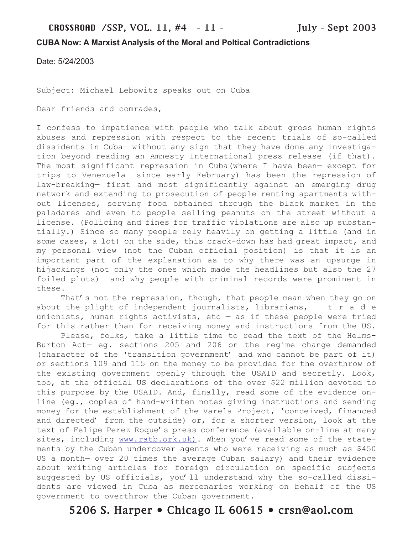#### **CUBA Now: A Marxist Analysis of the Moral and Poltical Contradictions**

Date: 5/24/2003

Subject: Michael Lebowitz speaks out on Cuba

Dear friends and comrades,

I confess to impatience with people who talk about gross human rights abuses and repression with respect to the recent trials of so-called dissidents in Cuba— without any sign that they have done any investigation beyond reading an Amnesty International press release (if that). The most significant repression in Cuba(where I have been— except for trips to Venezuela— since early February) has been the repression of law-breaking— first and most significantly against an emerging drug network and extending to prosecution of people renting apartments without licenses, serving food obtained through the black market in the paladares and even to people selling peanuts on the street without a license. (Policing and fines for traffic violations are also up substantially.) Since so many people rely heavily on getting a little (and in some cases, a lot) on the side, this crack-down has had great impact, and my personal view (not the Cuban official position) is that it is an important part of the explanation as to why there was an upsurge in hijackings (not only the ones which made the headlines but also the 27 foiled plots)— and why people with criminal records were prominent in these.

That's not the repression, though, that people mean when they go on about the plight of independent journalists, librarians,  $t$  r a d e unionists, human rights activists, etc  $-$  as if these people were tried for this rather than for receiving money and instructions from the US.

Please, folks, take a little time to read the text of the Helms-Burton Act— eg. sections 205 and 206 on the regime change demanded (character of the 'transition government' and who cannot be part of it) or sections 109 and 115 on the money to be provided for the overthrow of the existing government openly through the USAID and secretly. Look, too, at the official US declarations of the over \$22 million devoted to this purpose by the USAID. And, finally, read some of the evidence online (eg., copies of hand-written notes giving instructions and sending money for the establishment of the Varela Project, 'conceived, financed and directed' from the outside) or, for a shorter version, look at the text of Felipe Perez Roque's press conference (available on-line at many sites, including www.ratb.ork.uk). When you've read some of the statements by the Cuban undercover agents who were receiving as much as \$450 US a month— over 20 times the average Cuban salary) and their evidence about writing articles for foreign circulation on specific subjects suggested by US officials, you'll understand why the so-called dissidents are viewed in Cuba as mercenaries working on behalf of the US government to overthrow the Cuban government.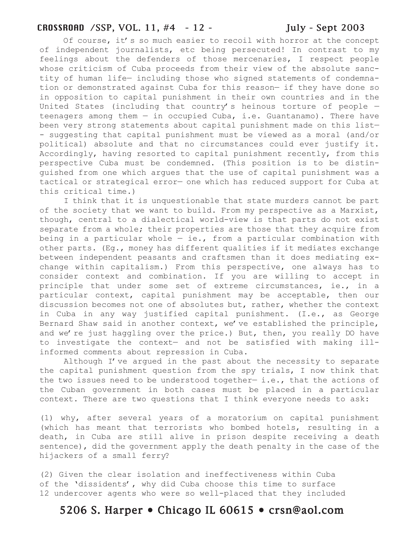#### CROSSROAD /SSP, VOL. 11, #4 - 12 - July - Sept 2003

Of course, it's so much easier to recoil with horror at the concept of independent journalists, etc being persecuted! In contrast to my feelings about the defenders of those mercenaries, I respect people whose criticism of Cuba proceeds from their view of the absolute sanctity of human life— including those who signed statements of condemnation or demonstrated against Cuba for this reason— if they have done so in opposition to capital punishment in their own countries and in the United States (including that country's heinous torture of people teenagers among them — in occupied Cuba, i.e. Guantanamo). There have been very strong statements about capital punishment made on this list— - suggesting that capital punishment must be viewed as a moral (and/or political) absolute and that no circumstances could ever justify it. Accordingly, having resorted to capital punishment recently, from this perspective Cuba must be condemned. (This position is to be distinguished from one which argues that the use of capital punishment was a tactical or strategical error— one which has reduced support for Cuba at this critical time.)

I think that it is unquestionable that state murders cannot be part of the society that we want to build. From my perspective as a Marxist, though, central to a dialectical world-view is that parts do not exist separate from a whole; their properties are those that they acquire from being in a particular whole  $-$  ie., from a particular combination with other parts. (Eg., money has different qualities if it mediates exchange between independent peasants and craftsmen than it does mediating exchange within capitalism.) From this perspective, one always has to consider context and combination. If you are willing to accept in principle that under some set of extreme circumstances, ie., in a particular context, capital punishment may be acceptable, then our discussion becomes not one of absolutes but, rather, whether the context in Cuba in any way justified capital punishment. (I.e., as George Bernard Shaw said in another context, we've established the principle, and we're just haggling over the price.) But, then, you really DO have to investigate the context— and not be satisfied with making illinformed comments about repression in Cuba.

Although I've argued in the past about the necessity to separate the capital punishment question from the spy trials, I now think that the two issues need to be understood together-i.e., that the actions of the Cuban government in both cases must be placed in a particular context. There are two questions that I think everyone needs to ask:

(1) why, after several years of a moratorium on capital punishment (which has meant that terrorists who bombed hotels, resulting in a death, in Cuba are still alive in prison despite receiving a death sentence), did the government apply the death penalty in the case of the hijackers of a small ferry?

(2) Given the clear isolation and ineffectiveness within Cuba of the 'dissidents', why did Cuba choose this time to surface 12 undercover agents who were so well-placed that they included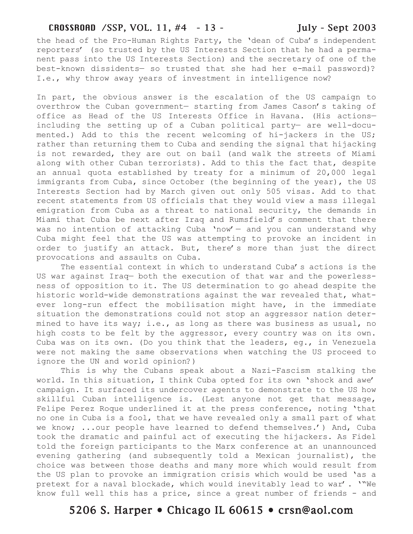#### CROSSROAD /SSP, VOL. 11, #4 - 13 - July - Sept 2003

the head of the Pro-Human Rights Party, the 'dean of Cuba's independent reporters' (so trusted by the US Interests Section that he had a permanent pass into the US Interests Section) and the secretary of one of the best-known dissidents— so trusted that she had her e-mail password)? I.e., why throw away years of investment in intelligence now?

In part, the obvious answer is the escalation of the US campaign to overthrow the Cuban government— starting from James Cason's taking of office as Head of the US Interests Office in Havana. (His actions including the setting up of a Cuban political party— are well-documented.) Add to this the recent welcoming of hi-jackers in the US; rather than returning them to Cuba and sending the signal that hijacking is not rewarded, they are out on bail (and walk the streets of Miami along with other Cuban terrorists). Add to this the fact that, despite an annual quota established by treaty for a minimum of 20,000 legal immigrants from Cuba, since October (the beginning of the year), the US Interests Section had by March given out only 505 visas. Add to that recent statements from US officials that they would view a mass illegal emigration from Cuba as a threat to national security, the demands in Miami that Cuba be next after Iraq and Rumsfield's comment that there was no intention of attacking Cuba 'now'— and you can understand why Cuba might feel that the US was attempting to provoke an incident in order to justify an attack. But, there's more than just the direct provocations and assaults on Cuba.

The essential context in which to understand Cuba's actions is the US war against Iraq— both the execution of that war and the powerlessness of opposition to it. The US determination to go ahead despite the historic world-wide demonstrations against the war revealed that, whatever long-run effect the mobilisation might have, in the immediate situation the demonstrations could not stop an aggressor nation determined to have its way; i.e., as long as there was business as usual, no high costs to be felt by the aggressor, every country was on its own. Cuba was on its own. (Do you think that the leaders, eg., in Venezuela were not making the same observations when watching the US proceed to ignore the UN and world opinion?)

This is why the Cubans speak about a Nazi-Fascism stalking the world. In this situation, I think Cuba opted for its own 'shock and awe' campaign. It surfaced its undercover agents to demonstrate to the US how skillful Cuban intelligence is. (Lest anyone not get that message, Felipe Perez Roque underlined it at the press conference, noting 'that no one in Cuba is a fool, that we have revealed only a small part of what we know; ...our people have learned to defend themselves.') And, Cuba took the dramatic and painful act of executing the hijackers. As Fidel told the foreign participants to the Marx conference at an unannounced evening gathering (and subsequently told a Mexican journalist), the choice was between those deaths and many more which would result from the US plan to provoke an immigration crisis which would be used 'as a pretext for a naval blockade, which would inevitably lead to war'. '"We know full well this has a price, since a great number of friends - and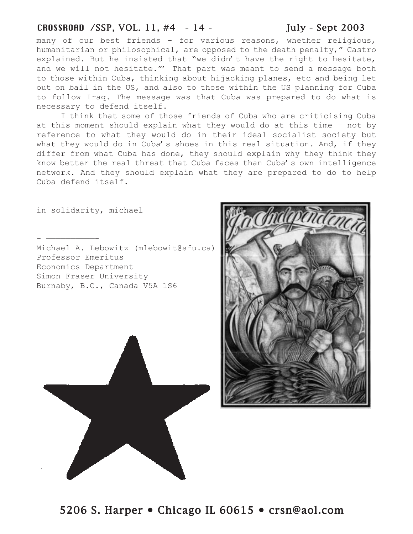#### CROSSROAD /SSP, VOL. 11, #4 - 14 - July - Sept 2003

many of our best friends - for various reasons, whether religious, humanitarian or philosophical, are opposed to the death penalty," Castro explained. But he insisted that "we didn't have the right to hesitate, and we will not hesitate."' That part was meant to send a message both to those within Cuba, thinking about hijacking planes, etc and being let out on bail in the US, and also to those within the US planning for Cuba to follow Iraq. The message was that Cuba was prepared to do what is necessary to defend itself.

I think that some of those friends of Cuba who are criticising Cuba at this moment should explain what they would do at this time — not by reference to what they would do in their ideal socialist society but what they would do in Cuba's shoes in this real situation. And, if they differ from what Cuba has done, they should explain why they think they know better the real threat that Cuba faces than Cuba's own intelligence network. And they should explain what they are prepared to do to help Cuba defend itself.

in solidarity, michael

- ——————————- Michael A. Lebowitz (mlebowit@sfu.ca) Professor Emeritus Economics Department Simon Fraser University Burnaby, B.C., Canada V5A 1S6



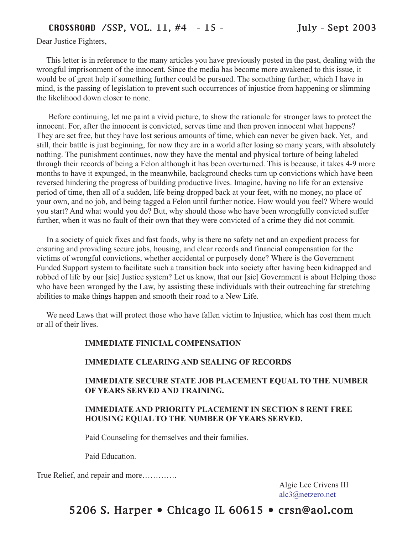Dear Justice Fighters,

 This letter is in reference to the many articles you have previously posted in the past, dealing with the wrongful imprisonment of the innocent. Since the media has become more awakened to this issue, it would be of great help if something further could be pursued. The something further, which I have in mind, is the passing of legislation to prevent such occurrences of injustice from happening or slimming the likelihood down closer to none.

 Before continuing, let me paint a vivid picture, to show the rationale for stronger laws to protect the innocent. For, after the innocent is convicted, serves time and then proven innocent what happens? They are set free, but they have lost serious amounts of time, which can never be given back. Yet, and still, their battle is just beginning, for now they are in a world after losing so many years, with absolutely nothing. The punishment continues, now they have the mental and physical torture of being labeled through their records of being a Felon although it has been overturned. This is because, it takes 4-9 more months to have it expunged, in the meanwhile, background checks turn up convictions which have been reversed hindering the progress of building productive lives. Imagine, having no life for an extensive period of time, then all of a sudden, life being dropped back at your feet, with no money, no place of your own, and no job, and being tagged a Felon until further notice. How would you feel? Where would you start? And what would you do? But, why should those who have been wrongfully convicted suffer further, when it was no fault of their own that they were convicted of a crime they did not commit.

 In a society of quick fixes and fast foods, why is there no safety net and an expedient process for ensuring and providing secure jobs, housing, and clear records and financial compensation for the victims of wrongful convictions, whether accidental or purposely done? Where is the Government Funded Support system to facilitate such a transition back into society after having been kidnapped and robbed of life by our [sic] Justice system? Let us know, that our [sic] Government is about Helping those who have been wronged by the Law, by assisting these individuals with their outreaching far stretching abilities to make things happen and smooth their road to a New Life.

 We need Laws that will protect those who have fallen victim to Injustice, which has cost them much or all of their lives.

#### **IMMEDIATE FINICIAL COMPENSATION**

#### **IMMEDIATE CLEARING AND SEALING OF RECORDS**

#### **IMMEDIATE SECURE STATE JOB PLACEMENT EQUAL TO THE NUMBER OF YEARS SERVED AND TRAINING.**

#### **IMMEDIATE AND PRIORITY PLACEMENT IN SECTION 8 RENT FREE HOUSING EQUAL TO THE NUMBER OF YEARS SERVED.**

Paid Counseling for themselves and their families.

Paid Education.

True Relief, and repair and more………….

Algie Lee Crivens III alc3@netzero.net